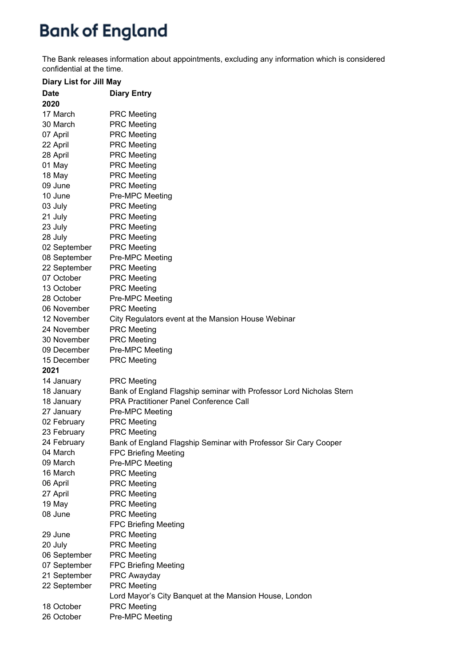## **Bank of England**

The Bank releases information about appointments, excluding any information which is considered confidential at the time.

| <b>Diary List for Jill May</b> |                                                                                           |
|--------------------------------|-------------------------------------------------------------------------------------------|
| <b>Date</b>                    | <b>Diary Entry</b>                                                                        |
| 2020                           |                                                                                           |
| 17 March                       | <b>PRC Meeting</b>                                                                        |
| 30 March                       | <b>PRC Meeting</b>                                                                        |
| 07 April                       | <b>PRC Meeting</b>                                                                        |
| 22 April                       | <b>PRC Meeting</b>                                                                        |
| 28 April                       | <b>PRC</b> Meeting                                                                        |
| 01 May                         | <b>PRC Meeting</b>                                                                        |
| 18 May                         | <b>PRC Meeting</b>                                                                        |
| 09 June                        | <b>PRC Meeting</b>                                                                        |
| 10 June                        | Pre-MPC Meeting                                                                           |
| 03 July                        | <b>PRC Meeting</b>                                                                        |
| 21 July                        | <b>PRC</b> Meeting                                                                        |
| 23 July                        | <b>PRC Meeting</b>                                                                        |
| 28 July                        | <b>PRC Meeting</b>                                                                        |
| 02 September                   | <b>PRC Meeting</b>                                                                        |
| 08 September                   | Pre-MPC Meeting                                                                           |
| 22 September                   | <b>PRC</b> Meeting                                                                        |
| 07 October                     | <b>PRC</b> Meeting                                                                        |
| 13 October                     | <b>PRC Meeting</b>                                                                        |
| 28 October                     | Pre-MPC Meeting                                                                           |
| 06 November                    | <b>PRC Meeting</b>                                                                        |
| 12 November                    | City Regulators event at the Mansion House Webinar                                        |
| 24 November                    | <b>PRC Meeting</b>                                                                        |
| 30 November                    | <b>PRC Meeting</b>                                                                        |
| 09 December                    | Pre-MPC Meeting                                                                           |
| 15 December                    | <b>PRC</b> Meeting                                                                        |
| 2021                           |                                                                                           |
|                                |                                                                                           |
| 14 January<br>18 January       | <b>PRC Meeting</b><br>Bank of England Flagship seminar with Professor Lord Nicholas Stern |
| 18 January                     | <b>PRA Practitioner Panel Conference Call</b>                                             |
| 27 January                     | Pre-MPC Meeting                                                                           |
| 02 February                    | <b>PRC Meeting</b>                                                                        |
| 23 February                    | <b>PRC Meeting</b>                                                                        |
| 24 February                    |                                                                                           |
| 04 March                       | Bank of England Flagship Seminar with Professor Sir Cary Cooper                           |
| 09 March                       | <b>FPC Briefing Meeting</b>                                                               |
| 16 March                       | Pre-MPC Meeting                                                                           |
|                                | <b>PRC Meeting</b>                                                                        |
| 06 April                       | <b>PRC</b> Meeting                                                                        |
| 27 April                       | <b>PRC</b> Meeting                                                                        |
| 19 May                         | <b>PRC</b> Meeting                                                                        |
| 08 June                        | <b>PRC Meeting</b>                                                                        |
|                                | <b>FPC Briefing Meeting</b>                                                               |
| 29 June                        | <b>PRC Meeting</b>                                                                        |
| 20 July                        | <b>PRC Meeting</b>                                                                        |
| 06 September                   | <b>PRC Meeting</b>                                                                        |
| 07 September                   | <b>FPC Briefing Meeting</b>                                                               |
| 21 September                   | PRC Awayday                                                                               |
| 22 September                   | <b>PRC Meeting</b>                                                                        |
|                                | Lord Mayor's City Banquet at the Mansion House, London                                    |
| 18 October                     | <b>PRC Meeting</b>                                                                        |
| 26 October                     | Pre-MPC Meeting                                                                           |